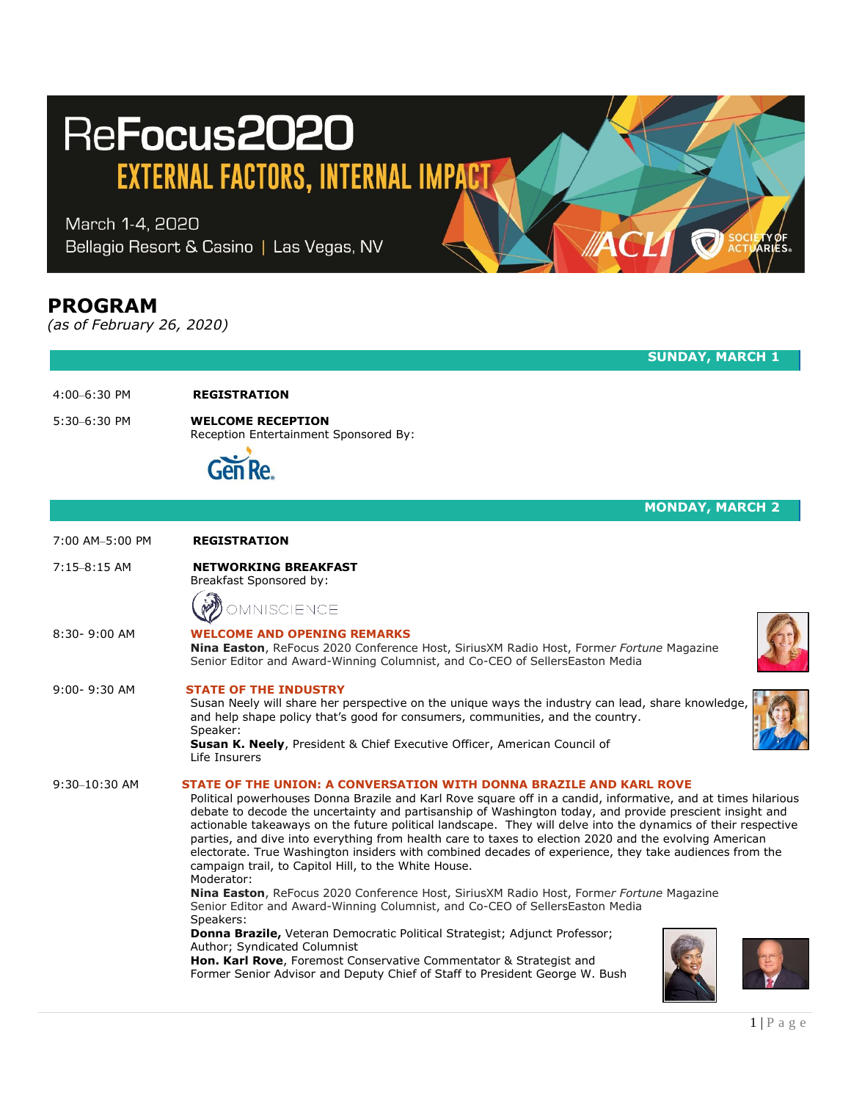# ReFocus2020

**EXTERNAL FACTORS, INTERNAL IMPACT** 

March 1-4, 2020 Bellagio Resort & Casino | Las Vegas, NV

## **PROGRAM**

*(as of February 26, 2020)*

## 4:00–6:30 PM **REGISTRATION**

5:30–6:30 PM **WELCOME RECEPTION** Reception Entertainment Sponsored By:



|                  | <b>MONDAY, MARCH 2</b>                                                                                                                                                                                                                                                                                                                                                                                                                                                                                                                                                                                                                                                                                                                                                                                                                                                                 |
|------------------|----------------------------------------------------------------------------------------------------------------------------------------------------------------------------------------------------------------------------------------------------------------------------------------------------------------------------------------------------------------------------------------------------------------------------------------------------------------------------------------------------------------------------------------------------------------------------------------------------------------------------------------------------------------------------------------------------------------------------------------------------------------------------------------------------------------------------------------------------------------------------------------|
| 7:00 AM-5:00 PM  | <b>REGISTRATION</b>                                                                                                                                                                                                                                                                                                                                                                                                                                                                                                                                                                                                                                                                                                                                                                                                                                                                    |
| $7:15-8:15$ AM   | <b>NETWORKING BREAKFAST</b><br>Breakfast Sponsored by:                                                                                                                                                                                                                                                                                                                                                                                                                                                                                                                                                                                                                                                                                                                                                                                                                                 |
|                  | NISCIENCE                                                                                                                                                                                                                                                                                                                                                                                                                                                                                                                                                                                                                                                                                                                                                                                                                                                                              |
| $8:30 - 9:00$ AM | <b>WELCOME AND OPENING REMARKS</b><br>Nina Easton, ReFocus 2020 Conference Host, SiriusXM Radio Host, Former Fortune Magazine<br>Senior Editor and Award-Winning Columnist, and Co-CEO of SellersEaston Media                                                                                                                                                                                                                                                                                                                                                                                                                                                                                                                                                                                                                                                                          |
| 9:00-9:30 AM     | <b>STATE OF THE INDUSTRY</b><br>Susan Neely will share her perspective on the unique ways the industry can lead, share knowledge<br>and help shape policy that's good for consumers, communities, and the country.<br>Speaker:<br><b>Susan K. Neely</b> , President & Chief Executive Officer, American Council of<br>Life Insurers                                                                                                                                                                                                                                                                                                                                                                                                                                                                                                                                                    |
| $9:30-10:30$ AM  | STATE OF THE UNION: A CONVERSATION WITH DONNA BRAZILE AND KARL ROVE<br>Political powerhouses Donna Brazile and Karl Rove square off in a candid, informative, and at times hilarious<br>debate to decode the uncertainty and partisanship of Washington today, and provide prescient insight and<br>actionable takeaways on the future political landscape. They will delve into the dynamics of their respective<br>parties, and dive into everything from health care to taxes to election 2020 and the evolving American<br>electorate. True Washington insiders with combined decades of experience, they take audiences from the<br>campaign trail, to Capitol Hill, to the White House.<br>Moderator:<br>Nina Easton, ReFocus 2020 Conference Host, SiriusXM Radio Host, Former Fortune Magazine<br>Senior Editor and Award-Winning Columnist, and Co-CEO of SellersEaston Media |
|                  | Speakers:<br>Donna Brazile, Veteran Democratic Political Strategist; Adjunct Professor;<br>Author; Syndicated Columnist<br>Hon. Karl Rove, Foremost Conservative Commentator & Strategist and<br>Former Senior Advisor and Deputy Chief of Staff to President George W. Bush                                                                                                                                                                                                                                                                                                                                                                                                                                                                                                                                                                                                           |

**SUNDAY, MARCH 1**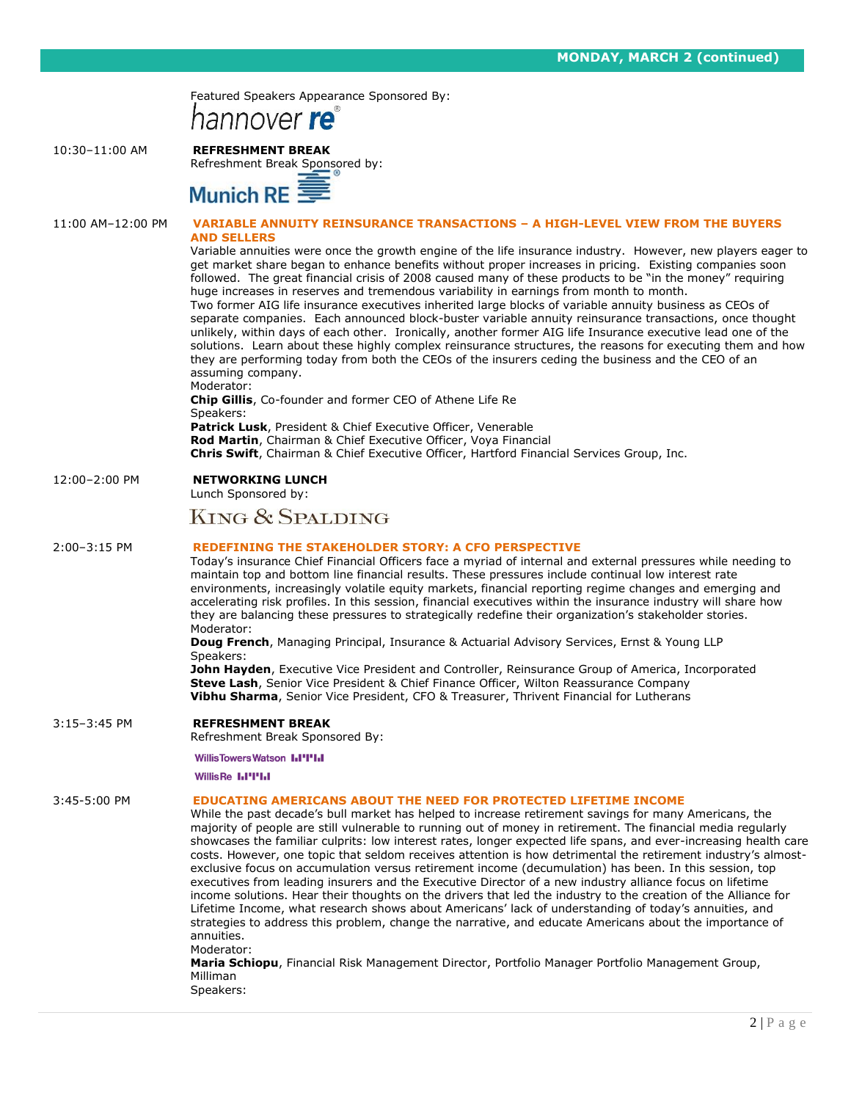**WEDNESDAY, MARCH 7 (continued)**



### 10:30–11:00 AM **REFRESHMENT BREAK**

Refreshment Break Sponsored by:



|                   | <b>PUTTOLE NE</b>                                                                                                                                                                                                                                                                                                                                                                                                                                                                                                                                                                                                                                                                                                                                                                                                                                                                                                                                                                                                                                                                                                                                                                                                                                                                                                                                                                                                                                           |
|-------------------|-------------------------------------------------------------------------------------------------------------------------------------------------------------------------------------------------------------------------------------------------------------------------------------------------------------------------------------------------------------------------------------------------------------------------------------------------------------------------------------------------------------------------------------------------------------------------------------------------------------------------------------------------------------------------------------------------------------------------------------------------------------------------------------------------------------------------------------------------------------------------------------------------------------------------------------------------------------------------------------------------------------------------------------------------------------------------------------------------------------------------------------------------------------------------------------------------------------------------------------------------------------------------------------------------------------------------------------------------------------------------------------------------------------------------------------------------------------|
| 11:00 AM-12:00 PM | <b>VARIABLE ANNUITY REINSURANCE TRANSACTIONS - A HIGH-LEVEL VIEW FROM THE BUYERS</b><br><b>AND SELLERS</b><br>Variable annuities were once the growth engine of the life insurance industry. However, new players eager to<br>get market share began to enhance benefits without proper increases in pricing. Existing companies soon<br>followed. The great financial crisis of 2008 caused many of these products to be "in the money" requiring<br>huge increases in reserves and tremendous variability in earnings from month to month.<br>Two former AIG life insurance executives inherited large blocks of variable annuity business as CEOs of<br>separate companies. Each announced block-buster variable annuity reinsurance transactions, once thought<br>unlikely, within days of each other. Ironically, another former AIG life Insurance executive lead one of the<br>solutions. Learn about these highly complex reinsurance structures, the reasons for executing them and how<br>they are performing today from both the CEOs of the insurers ceding the business and the CEO of an<br>assuming company.<br>Moderator:<br>Chip Gillis, Co-founder and former CEO of Athene Life Re<br>Speakers:<br><b>Patrick Lusk, President &amp; Chief Executive Officer, Venerable</b><br>Rod Martin, Chairman & Chief Executive Officer, Voya Financial<br>Chris Swift, Chairman & Chief Executive Officer, Hartford Financial Services Group, Inc. |
| 12:00-2:00 PM     | <b>NETWORKING LUNCH</b><br>Lunch Sponsored by:                                                                                                                                                                                                                                                                                                                                                                                                                                                                                                                                                                                                                                                                                                                                                                                                                                                                                                                                                                                                                                                                                                                                                                                                                                                                                                                                                                                                              |
|                   | KING & SPALDING                                                                                                                                                                                                                                                                                                                                                                                                                                                                                                                                                                                                                                                                                                                                                                                                                                                                                                                                                                                                                                                                                                                                                                                                                                                                                                                                                                                                                                             |
| 2:00-3:15 PM      | <b>REDEFINING THE STAKEHOLDER STORY: A CFO PERSPECTIVE</b><br>Today's insurance Chief Financial Officers face a myriad of internal and external pressures while needing to<br>maintain top and bottom line financial results. These pressures include continual low interest rate<br>environments, increasingly volatile equity markets, financial reporting regime changes and emerging and<br>accelerating risk profiles. In this session, financial executives within the insurance industry will share how<br>they are balancing these pressures to strategically redefine their organization's stakeholder stories.<br>Moderator:<br><b>Doug French, Managing Principal, Insurance &amp; Actuarial Advisory Services, Ernst &amp; Young LLP</b><br>Speakers:<br>John Hayden, Executive Vice President and Controller, Reinsurance Group of America, Incorporated<br>Steve Lash, Senior Vice President & Chief Finance Officer, Wilton Reassurance Company<br><b>Vibhu Sharma, Senior Vice President, CFO &amp; Treasurer, Thrivent Financial for Lutherans</b>                                                                                                                                                                                                                                                                                                                                                                                         |
| $3:15-3:45$ PM    | <b>REFRESHMENT BREAK</b><br>Refreshment Break Sponsored By:                                                                                                                                                                                                                                                                                                                                                                                                                                                                                                                                                                                                                                                                                                                                                                                                                                                                                                                                                                                                                                                                                                                                                                                                                                                                                                                                                                                                 |
|                   | <b>WillisTowersWatson I.I'I'I.I</b>                                                                                                                                                                                                                                                                                                                                                                                                                                                                                                                                                                                                                                                                                                                                                                                                                                                                                                                                                                                                                                                                                                                                                                                                                                                                                                                                                                                                                         |
| 3:45-5:00 PM      | <b>WillisRe I.I'I'I.I</b><br><b>EDUCATING AMERICANS ABOUT THE NEED FOR PROTECTED LIFETIME INCOME</b><br>While the past decade's bull market has helped to increase retirement savings for many Americans, the<br>majority of people are still vulnerable to running out of money in retirement. The financial media regularly<br>showcases the familiar culprits: low interest rates, longer expected life spans, and ever-increasing health care<br>costs. However, one topic that seldom receives attention is how detrimental the retirement industry's almost-<br>exclusive focus on accumulation versus retirement income (decumulation) has been. In this session, top<br>executives from leading insurers and the Executive Director of a new industry alliance focus on lifetime<br>income solutions. Hear their thoughts on the drivers that led the industry to the creation of the Alliance for<br>Lifetime Income, what research shows about Americans' lack of understanding of today's annuities, and<br>strategies to address this problem, change the narrative, and educate Americans about the importance of<br>annuities.<br>Moderator:<br>Maria Schiopu, Financial Risk Management Director, Portfolio Manager Portfolio Management Group,<br>Milliman<br>Speakers:                                                                                                                                                                     |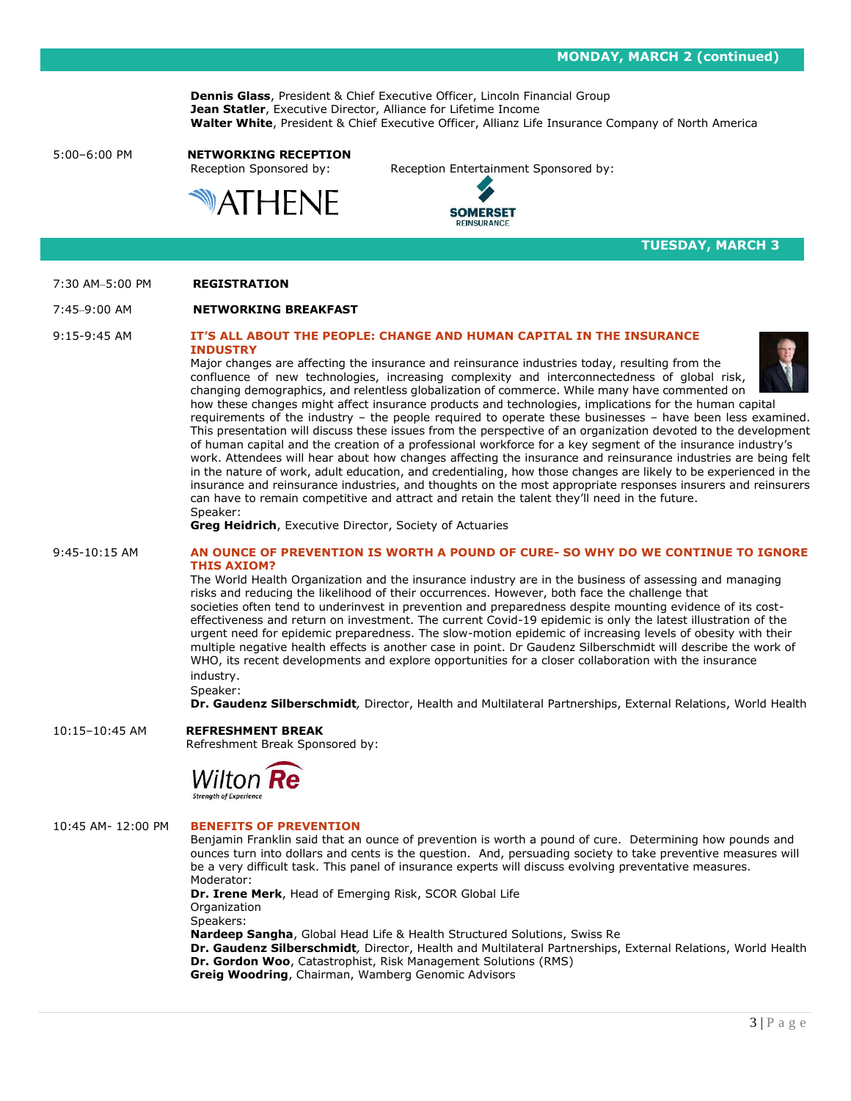**WEDNESDAY, MARCH 7 (continued)**

**Dennis Glass**, President & Chief Executive Officer, Lincoln Financial Group **Jean Statler**, Executive Director, Alliance for Lifetime Income **Walter White**, President & Chief Executive Officer, Allianz Life Insurance Company of North America

## 5:00–6:00 PM **NETWORKING RECEPTION**



Reception Sponsored by: Reception Entertainment Sponsored by:



**TUESDAY, MARCH 3**

#### 7:30 AM–5:00 PM **REGISTRATION**

#### 7:45–9:00 AM **NETWORKING BREAKFAST**

#### 9:15-9:45 AM **IT'S ALL ABOUT THE PEOPLE: CHANGE AND HUMAN CAPITAL IN THE INSURANCE INDUSTRY**

Major changes are affecting the insurance and reinsurance industries today, resulting from the



confluence of new technologies, increasing complexity and interconnectedness of global risk, changing demographics, and relentless globalization of commerce. While many have commented on how these changes might affect insurance products and technologies, implications for the human capital requirements of the industry – the people required to operate these businesses – have been less examined. This presentation will discuss these issues from the perspective of an organization devoted to the development of human capital and the creation of a professional workforce for a key segment of the insurance industry's work. Attendees will hear about how changes affecting the insurance and reinsurance industries are being felt in the nature of work, adult education, and credentialing, how those changes are likely to be experienced in the insurance and reinsurance industries, and thoughts on the most appropriate responses insurers and reinsurers can have to remain competitive and attract and retain the talent they'll need in the future. Speaker:

**Greg Heidrich**, Executive Director, Society of Actuaries

#### 9:45-10:15 AM **AN OUNCE OF PREVENTION IS WORTH A POUND OF CURE- SO WHY DO WE CONTINUE TO IGNORE THIS AXIOM?**

The World Health Organization and the insurance industry are in the business of assessing and managing risks and reducing the likelihood of their occurrences. However, both face the challenge that societies often tend to underinvest in prevention and preparedness despite mounting evidence of its costeffectiveness and return on investment. The current Covid-19 epidemic is only the latest illustration of the urgent need for epidemic preparedness. The slow-motion epidemic of increasing levels of obesity with their multiple negative health effects is another case in point. Dr Gaudenz Silberschmidt will describe the work of WHO, its recent developments and explore opportunities for a closer collaboration with the insurance industry.

Speaker: **Dr. Gaudenz Silberschmidt***,* Director, Health and Multilateral Partnerships, External Relations, World Health

#### 10:15–10:45 AM **REFRESHMENT BREAK**

Refreshment Break Sponsored by:



#### 10:45 AM- 12:00 PM **BENEFITS OF PREVENTION**

Benjamin Franklin said that an ounce of prevention is worth a pound of cure. Determining how pounds and ounces turn into dollars and cents is the question. And, persuading society to take preventive measures will be a very difficult task. This panel of insurance experts will discuss evolving preventative measures. Moderator:

**Dr. Irene Merk**, Head of Emerging Risk, SCOR Global Life **Organization** Speakers:

**Nardeep Sangha**, Global Head Life & Health Structured Solutions, Swiss Re **Dr. Gaudenz Silberschmidt***,* Director, Health and Multilateral Partnerships, External Relations, World Health **Dr. Gordon Woo**, Catastrophist, Risk Management Solutions (RMS) **Greig Woodring**, Chairman, Wamberg Genomic Advisors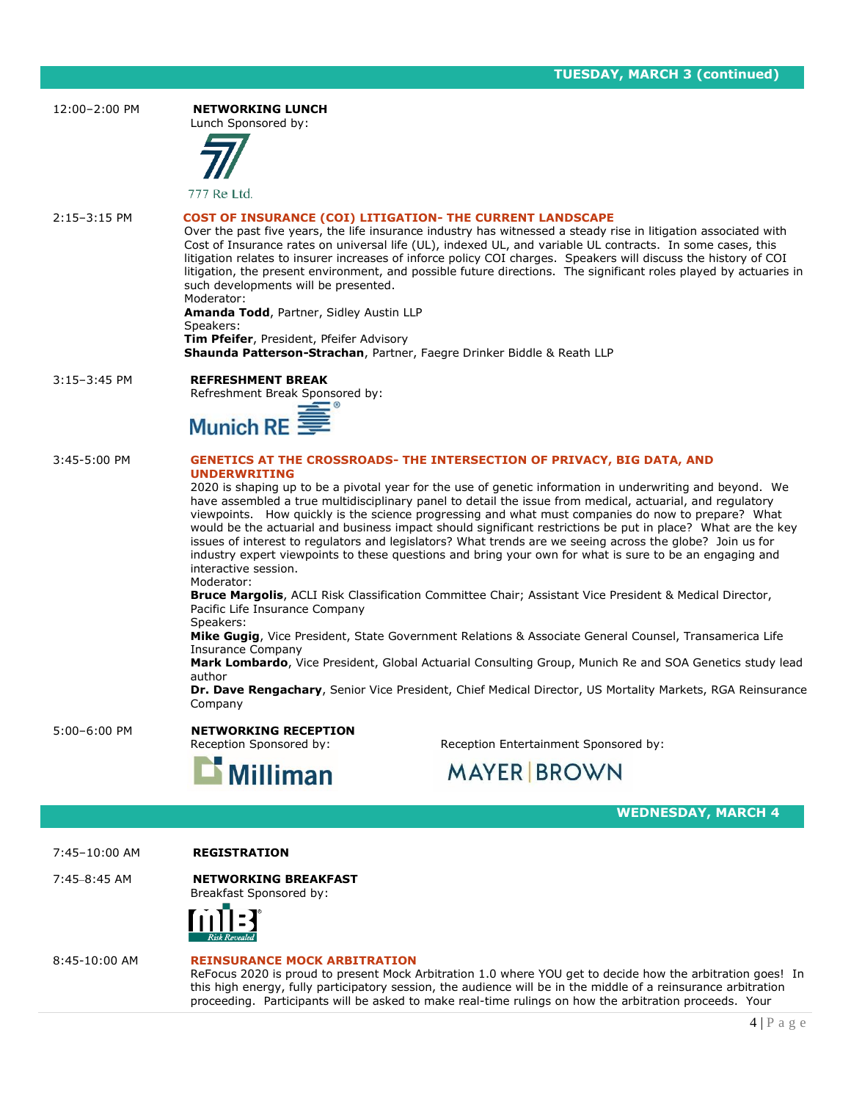| 12:00-2:00 PM    | <b>NETWORKING LUNCH</b><br>Lunch Sponsored by:                                                                                                                                                                                                                                                                                                                                                                                                                                                                                                                                                                                                                                                                                                                                                                                                                                                                                                                                                                                                                                                                                                                                                                                                                                                                                                                |
|------------------|---------------------------------------------------------------------------------------------------------------------------------------------------------------------------------------------------------------------------------------------------------------------------------------------------------------------------------------------------------------------------------------------------------------------------------------------------------------------------------------------------------------------------------------------------------------------------------------------------------------------------------------------------------------------------------------------------------------------------------------------------------------------------------------------------------------------------------------------------------------------------------------------------------------------------------------------------------------------------------------------------------------------------------------------------------------------------------------------------------------------------------------------------------------------------------------------------------------------------------------------------------------------------------------------------------------------------------------------------------------|
|                  | 777 Re Ltd.                                                                                                                                                                                                                                                                                                                                                                                                                                                                                                                                                                                                                                                                                                                                                                                                                                                                                                                                                                                                                                                                                                                                                                                                                                                                                                                                                   |
| $2:15-3:15$ PM   | COST OF INSURANCE (COI) LITIGATION- THE CURRENT LANDSCAPE<br>Over the past five years, the life insurance industry has witnessed a steady rise in litigation associated with<br>Cost of Insurance rates on universal life (UL), indexed UL, and variable UL contracts. In some cases, this<br>litigation relates to insurer increases of inforce policy COI charges. Speakers will discuss the history of COI<br>litigation, the present environment, and possible future directions. The significant roles played by actuaries in<br>such developments will be presented.<br>Moderator:<br>Amanda Todd, Partner, Sidley Austin LLP<br>Speakers:<br>Tim Pfeifer, President, Pfeifer Advisory<br>Shaunda Patterson-Strachan, Partner, Faegre Drinker Biddle & Reath LLP                                                                                                                                                                                                                                                                                                                                                                                                                                                                                                                                                                                        |
| $3:15 - 3:45$ PM | <b>REFRESHMENT BREAK</b><br>Refreshment Break Sponsored by:<br>Munich RE:                                                                                                                                                                                                                                                                                                                                                                                                                                                                                                                                                                                                                                                                                                                                                                                                                                                                                                                                                                                                                                                                                                                                                                                                                                                                                     |
| 3:45-5:00 PM     | <b>GENETICS AT THE CROSSROADS- THE INTERSECTION OF PRIVACY, BIG DATA, AND</b><br><b>UNDERWRITING</b><br>2020 is shaping up to be a pivotal year for the use of genetic information in underwriting and beyond. We<br>have assembled a true multidisciplinary panel to detail the issue from medical, actuarial, and regulatory<br>viewpoints. How quickly is the science progressing and what must companies do now to prepare? What<br>would be the actuarial and business impact should significant restrictions be put in place? What are the key<br>issues of interest to regulators and legislators? What trends are we seeing across the globe? Join us for<br>industry expert viewpoints to these questions and bring your own for what is sure to be an engaging and<br>interactive session.<br>Moderator:<br>Bruce Margolis, ACLI Risk Classification Committee Chair; Assistant Vice President & Medical Director,<br>Pacific Life Insurance Company<br>Speakers:<br>Mike Gugig, Vice President, State Government Relations & Associate General Counsel, Transamerica Life<br><b>Insurance Company</b><br>Mark Lombardo, Vice President, Global Actuarial Consulting Group, Munich Re and SOA Genetics study lead<br>author<br>Dr. Dave Rengachary, Senior Vice President, Chief Medical Director, US Mortality Markets, RGA Reinsurance<br>Company |
| 5:00-6:00 PM     | <b>NETWORKING RECEPTION</b><br>Reception Sponsored by:<br>Reception Entertainment Sponsored by:<br><b>MAYER BROWN</b>                                                                                                                                                                                                                                                                                                                                                                                                                                                                                                                                                                                                                                                                                                                                                                                                                                                                                                                                                                                                                                                                                                                                                                                                                                         |
|                  | <b>Milliman</b>                                                                                                                                                                                                                                                                                                                                                                                                                                                                                                                                                                                                                                                                                                                                                                                                                                                                                                                                                                                                                                                                                                                                                                                                                                                                                                                                               |
|                  | <b>WEDNESDAY, MARCH 4</b>                                                                                                                                                                                                                                                                                                                                                                                                                                                                                                                                                                                                                                                                                                                                                                                                                                                                                                                                                                                                                                                                                                                                                                                                                                                                                                                                     |
| 7:45-10:00 AM    | <b>REGISTRATION</b>                                                                                                                                                                                                                                                                                                                                                                                                                                                                                                                                                                                                                                                                                                                                                                                                                                                                                                                                                                                                                                                                                                                                                                                                                                                                                                                                           |
| 7:45-8:45 AM     | <b>NETWORKING BREAKFAST</b><br>Breakfast Sponsored by:                                                                                                                                                                                                                                                                                                                                                                                                                                                                                                                                                                                                                                                                                                                                                                                                                                                                                                                                                                                                                                                                                                                                                                                                                                                                                                        |
| 8:45-10:00 AM    | <b>REINSURANCE MOCK ARBITRATION</b>                                                                                                                                                                                                                                                                                                                                                                                                                                                                                                                                                                                                                                                                                                                                                                                                                                                                                                                                                                                                                                                                                                                                                                                                                                                                                                                           |

ReFocus 2020 is proud to present Mock Arbitration 1.0 where YOU get to decide how the arbitration goes! In this high energy, fully participatory session, the audience will be in the middle of a reinsurance arbitration proceeding. Participants will be asked to make real-time rulings on how the arbitration proceeds. Your